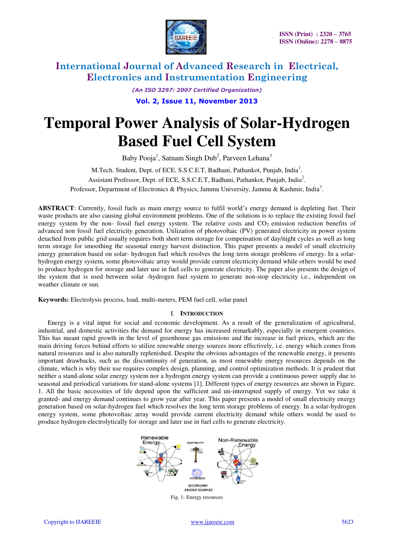

*(An ISO 3297: 2007 Certified Organization)* 

**Vol. 2, Issue 11, November 2013**

# **Temporal Power Analysis of Solar-Hydrogen Based Fuel Cell System**

Baby Pooja<sup>1</sup>, Satnam Singh Dub<sup>2</sup>, Parveen Lehana<sup>3</sup>

M.Tech. Student, Dept. of ECE, S.S.C.E.T, Badhani, Pathankot, Punjab, India<sup>1</sup>. Assistant Professor, Dept. of ECE, S.S.C.E.T, Badhani, Pathankot, Punjab, India<sup>2</sup>. Professor, Department of Electronics & Physics, Jammu University, Jammu & Kashmir, India<sup>3</sup>.

**ABSTRACT**: Currently, fossil fuels as main energy source to fulfil world's energy demand is depleting fast. Their waste products are also causing global environment problems. One of the solutions is to replace the existing fossil fuel energy system by the non- fossil fuel energy system. The relative costs and  $CO<sub>2</sub>$  emission reduction benefits of advanced non fossil fuel electricity generation. Utilization of photovoltaic (PV) generated electricity in power system detached from public grid usually requires both short term storage for compensation of day/night cycles as well as long term storage for smoothing the seasonal energy harvest distinction. This paper presents a model of small electricity energy generation based on solar- hydrogen fuel which resolves the long term storage problems of energy. In a solarhydrogen energy system, some photovoltaic array would provide current electricity demand while others would be used to produce hydrogen for storage and later use in fuel cells to generate electricity. The paper also presents the design of the system that is used between solar -hydrogen fuel system to generate non-stop electricity i.e., independent on weather climate or sun.

**Keywords:** Electrolysis process, load, multi-meters, PEM fuel cell, solar panel

#### I. **INTRODUCTION**

Energy is a vital input for social and economic development. As a result of the generalization of agricultural, industrial, and domestic activities the demand for energy has increased remarkably, especially in emergent countries. This has meant rapid growth in the level of greenhouse gas emissions and the increase in fuel prices, which are the main driving forces behind efforts to utilize renewable energy sources more effectively, i.e. energy which comes from natural resources and is also naturally replenished. Despite the obvious advantages of the renewable energy, it presents important drawbacks, such as the discontinuity of generation, as most renewable energy resources depends on the climate, which is why their use requires complex design, planning, and control optimization methods. It is prudent that neither a stand-alone solar energy system nor a hydrogen energy system can provide a continuous power supply due to seasonal and periodical variations for stand-alone systems [1]. Different types of energy resources are shown in Figure. 1. All the basic necessities of life depend upon the sufficient and un-interrupted supply of energy. Yet we take it granted- and energy demand continues to grow year after year. This paper presents a model of small electricity energy generation based on solar-hydrogen fuel which resolves the long term storage problems of energy. In a solar-hydrogen energy system, some photovoltaic array would provide current electricity demand while others would be used to produce hydrogen electrolytically for storage and later use in fuel cells to generate electricity.

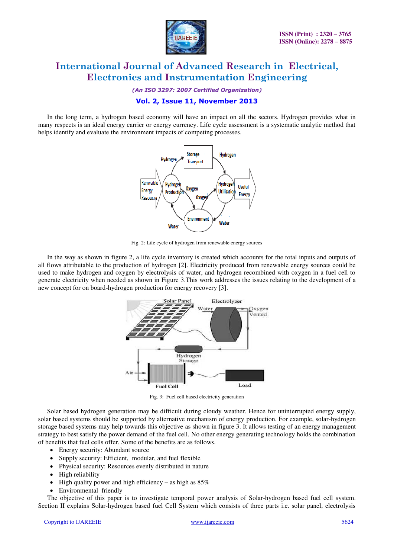

*(An ISO 3297: 2007 Certified Organization)* 

### **Vol. 2, Issue 11, November 2013**

 In the long term, a hydrogen based economy will have an impact on all the sectors. Hydrogen provides what in many respects is an ideal energy carrier or energy currency. Life cycle assessment is a systematic analytic method that helps identify and evaluate the environment impacts of competing processes.



Fig. 2: Life cycle of hydrogen from renewable energy sources

 In the way as shown in figure 2, a life cycle inventory is created which accounts for the total inputs and outputs of all flows attributable to the production of hydrogen [2]. Electricity produced from renewable energy sources could be used to make hydrogen and oxygen by electrolysis of water, and hydrogen recombined with oxygen in a fuel cell to generate electricity when needed as shown in Figure 3.This work addresses the issues relating to the development of a new concept for on board-hydrogen production for energy recovery [3].



Fig. 3: Fuel cell based electricity generation

 Solar based hydrogen generation may be difficult during cloudy weather. Hence for uninterrupted energy supply, solar based systems should be supported by alternative mechanism of energy production. For example, solar-hydrogen storage based systems may help towards this objective as shown in figure 3. It allows testing of an energy management strategy to best satisfy the power demand of the fuel cell. No other energy generating technology holds the combination of benefits that fuel cells offer. Some of the benefits are as follows.

- Energy security: Abundant source
- Supply security: Efficient, modular, and fuel flexible
- Physical security: Resources evenly distributed in nature
- High reliability
- $\bullet$  High quality power and high efficiency as high as 85%
- Environmental friendly

 The objective of this paper is to investigate temporal power analysis of Solar-hydrogen based fuel cell system. Section II explains Solar-hydrogen based fuel Cell System which consists of three parts i.e. solar panel, electrolysis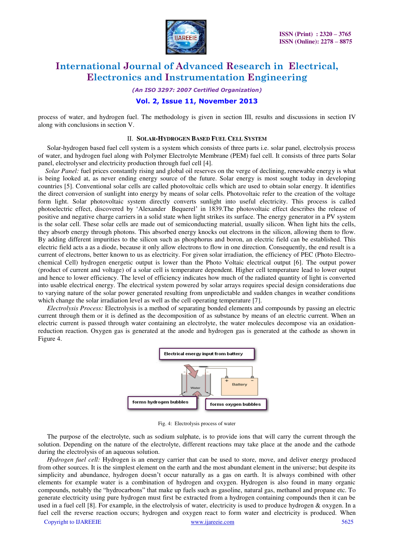

*(An ISO 3297: 2007 Certified Organization)* 

#### **Vol. 2, Issue 11, November 2013**

process of water, and hydrogen fuel. The methodology is given in section III, results and discussions in section IV along with conclusions in section V.

#### II. **SOLAR-HYDROGEN BASED FUEL CELL SYSTEM**

 Solar-hydrogen based fuel cell system is a system which consists of three parts i.e. solar panel, electrolysis process of water, and hydrogen fuel along with Polymer Electrolyte Membrane (PEM) fuel cell. It consists of three parts Solar panel, electrolyser and electricity production through fuel cell [4].

*Solar Panel:* fuel prices constantly rising and global oil reserves on the verge of declining, renewable energy is what is being looked at, as never ending energy source of the future. Solar energy is most sought today in developing countries [5]. Conventional solar cells are called photovoltaic cells which are used to obtain solar energy. It identifies the direct conversion of sunlight into energy by means of solar cells. Photovoltaic refer to the creation of the voltage form light. Solar photovoltaic system directly converts sunlight into useful electricity. This process is called photoelectric effect, discovered by 'Alexander Bequerel' in 1839.The photovoltaic effect describes the release of positive and negative charge carriers in a solid state when light strikes its surface. The energy generator in a PV system is the solar cell. These solar cells are made out of semiconducting material, usually silicon. When light hits the cells, they absorb energy through photons. This absorbed energy knocks out electrons in the silicon, allowing them to flow. By adding different impurities to the silicon such as phosphorus and boron, an electric field can be established. This electric field acts a as a diode, because it only allow electrons to flow in one direction. Consequently, the end result is a current of electrons, better known to us as electricity. For given solar irradiation, the efficiency of PEC (Photo Electrochemical Cell) hydrogen energetic output is lower than the Photo Voltaic electrical output [6]. The output power (product of current and voltage) of a solar cell is temperature dependent. Higher cell temperature lead to lower output and hence to lower efficiency. The level of efficiency indicates how much of the radiated quantity of light is converted into usable electrical energy. The electrical system powered by solar arrays requires special design considerations due to varying nature of the solar power generated resulting from unpredictable and sudden changes in weather conditions which change the solar irradiation level as well as the cell operating temperature [7].

*Electrolysis Process:* Electrolysis is a method of separating bonded elements and compounds by passing an electric current through them or it is defined as the decomposition of as substance by means of an electric current. When an electric current is passed through water containing an electrolyte, the water molecules decompose via an oxidationreduction reaction. Oxygen gas is generated at the anode and hydrogen gas is generated at the cathode as shown in Figure 4.



Fig. 4: Electrolysis process of water

The purpose of the electrolyte, such as sodium sulphate, is to provide ions that will carry the current through the solution. Depending on the nature of the electrolyte, different reactions may take place at the anode and the cathode during the electrolysis of an aqueous solution.

 *Hydrogen fuel cell:* Hydrogen is an energy carrier that can be used to store, move, and deliver energy produced from other sources. It is the simplest element on the earth and the most abundant element in the universe; but despite its simplicity and abundance, hydrogen doesn't occur naturally as a gas on earth. It is always combined with other elements for example water is a combination of hydrogen and oxygen. Hydrogen is also found in many organic compounds, notably the "hydrocarbons" that make up fuels such as gasoline, natural gas, methanol and propane etc. To generate electricity using pure hydrogen must first be extracted from a hydrogen containing compounds then it can be used in a fuel cell [8]. For example, in the electrolysis of water, electricity is used to produce hydrogen & oxygen. In a fuel cell the reverse reaction occurs; hydrogen and oxygen react to form water and electricity is produced. When

Copyright to IJAREEIE www.ijareeie.com 5625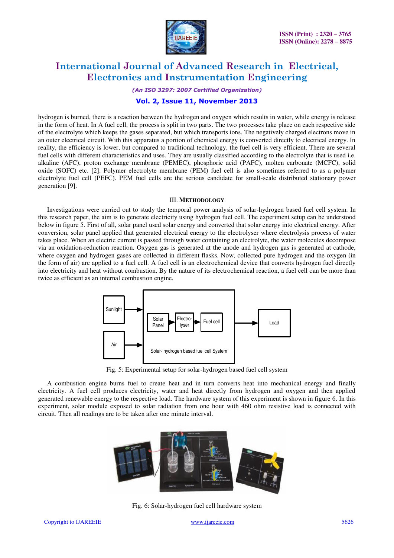

*(An ISO 3297: 2007 Certified Organization)* 

### **Vol. 2, Issue 11, November 2013**

hydrogen is burned, there is a reaction between the hydrogen and oxygen which results in water, while energy is release in the form of heat. In A fuel cell, the process is split in two parts. The two processes take place on each respective side of the electrolyte which keeps the gases separated, but which transports ions. The negatively charged electrons move in an outer electrical circuit. With this apparatus a portion of chemical energy is converted directly to electrical energy. In reality, the efficiency is lower, but compared to traditional technology, the fuel cell is very efficient. There are several fuel cells with different characteristics and uses. They are usually classified according to the electrolyte that is used i.e. alkaline (AFC), proton exchange membrane (PEMEC), phosphoric acid (PAFC), molten carbonate (MCFC), solid oxide (SOFC) etc. [2]. Polymer electrolyte membrane (PEM) fuel cell is also sometimes referred to as a polymer electrolyte fuel cell (PEFC). PEM fuel cells are the serious candidate for small-scale distributed stationary power generation [9].

#### III. **METHODOLOGY**

Investigations were carried out to study the temporal power analysis of solar-hydrogen based fuel cell system. In this research paper, the aim is to generate electricity using hydrogen fuel cell. The experiment setup can be understood below in figure 5. First of all, solar panel used solar energy and converted that solar energy into electrical energy. After conversion, solar panel applied that generated electrical energy to the electrolyser where electrolysis process of water takes place. When an electric current is passed through water containing an electrolyte, the water molecules decompose via an oxidation-reduction reaction. Oxygen gas is generated at the anode and hydrogen gas is generated at cathode, where oxygen and hydrogen gases are collected in different flasks. Now, collected pure hydrogen and the oxygen (in the form of air) are applied to a fuel cell. A fuel cell is an electrochemical device that converts hydrogen fuel directly into electricity and heat without combustion. By the nature of its electrochemical reaction, a fuel cell can be more than twice as efficient as an internal combustion engine.



Fig. 5: Experimental setup for solar-hydrogen based fuel cell system

 A combustion engine burns fuel to create heat and in turn converts heat into mechanical energy and finally electricity. A fuel cell produces electricity, water and heat directly from hydrogen and oxygen and then applied generated renewable energy to the respective load. The hardware system of this experiment is shown in figure 6. In this experiment, solar module exposed to solar radiation from one hour with 460 ohm resistive load is connected with circuit. Then all readings are to be taken after one minute interval.



Fig. 6: Solar-hydrogen fuel cell hardware system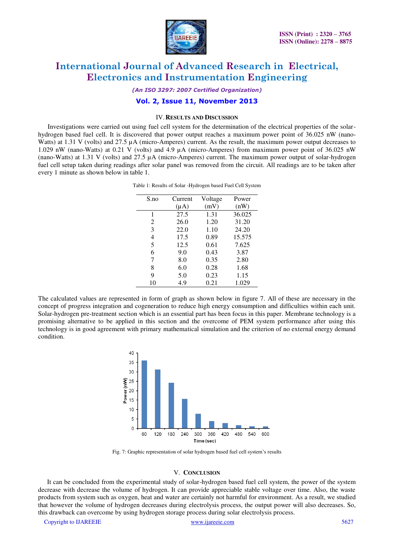

*(An ISO 3297: 2007 Certified Organization)* 

### **Vol. 2, Issue 11, November 2013**

#### IV.**RESULTS AND DISCUSSION**

Investigations were carried out using fuel cell system for the determination of the electrical properties of the solarhydrogen based fuel cell. It is discovered that power output reaches a maximum power point of 36.025 nW (nano-Watts) at 1.31 V (volts) and 27.5 µA (micro-Amperes) current. As the result, the maximum power output decreases to 1.029 nW (nano-Watts) at 0.21 V (volts) and 4.9 µA (micro-Amperes) from maximum power point of 36.025 nW (nano-Watts) at 1.31 V (volts) and 27.5 µA (micro-Amperes) current. The maximum power output of solar-hydrogen fuel cell setup taken during readings after solar panel was removed from the circuit. All readings are to be taken after every 1 minute as shown below in table 1.

| S.no | Current   | Voltage | Power  |
|------|-----------|---------|--------|
|      | $(\mu A)$ | (mV)    | (nW)   |
| 1    | 27.5      | 1.31    | 36.025 |
| 2    | 26.0      | 1.20    | 31.20  |
| 3    | 22.0      | 1.10    | 24.20  |
| 4    | 17.5      | 0.89    | 15.575 |
| 5    | 12.5      | 0.61    | 7.625  |
| 6    | 9.0       | 0.43    | 3.87   |
| 7    | 8.0       | 0.35    | 2.80   |
| 8    | 6.0       | 0.28    | 1.68   |
| 9    | 5.0       | 0.23    | 1.15   |
| 10   | 4.9       | 0.21    | 1.029  |
|      |           |         |        |

Table 1: Results of Solar -Hydrogen based Fuel Cell System

The calculated values are represented in form of graph as shown below in figure 7. All of these are necessary in the concept of progress integration and cogeneration to reduce high energy consumption and difficulties within each unit. Solar-hydrogen pre-treatment section which is an essential part has been focus in this paper. Membrane technology is a promising alternative to be applied in this section and the overcome of PEM system performance after using this technology is in good agreement with primary mathematical simulation and the criterion of no external energy demand condition.



Fig. 7: Graphic representation of solar hydrogen based fuel cell system's results

#### V. **CONCLUSION**

It can be concluded from the experimental study of solar-hydrogen based fuel cell system, the power of the system decrease with decrease the volume of hydrogen. It can provide appreciable stable voltage over time. Also, the waste products from system such as oxygen, heat and water are certainly not harmful for environment. As a result, we studied that however the volume of hydrogen decreases during electrolysis process, the output power will also decreases. So, this drawback can overcome by using hydrogen storage process during solar electrolysis process.

Copyright to IJAREEIE www.ijareeie.com 5627